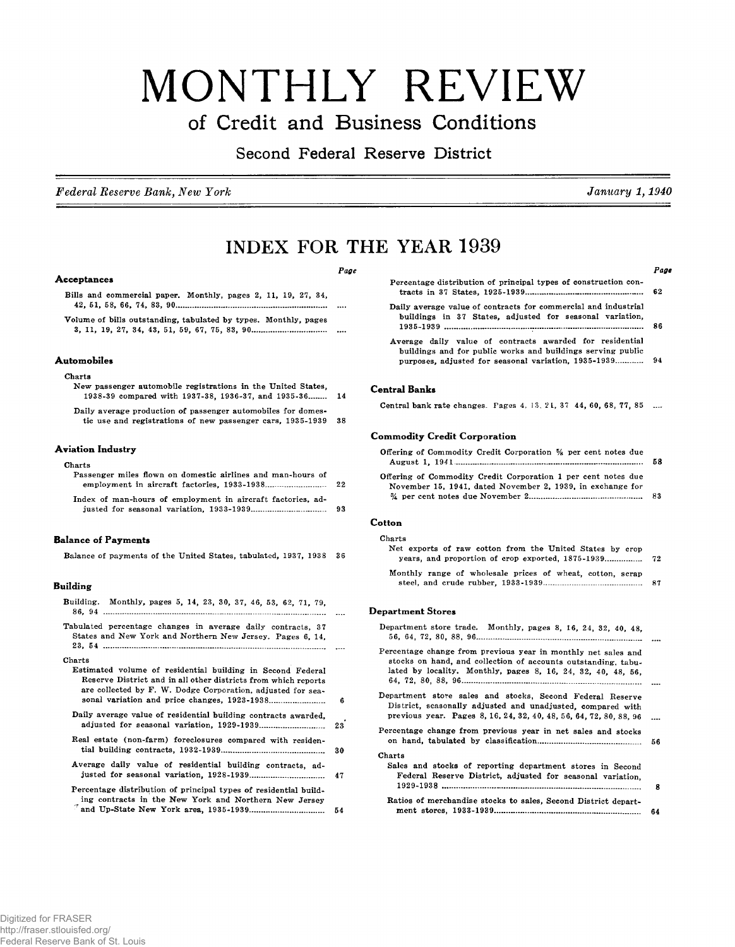# MONTHLY REVIEW **of Credit and Business Conditions**

## **Second Federal Reserve District**

*Federal Reserve Bank, New York January 1,1940*

Page

### **INDEX FOR THE YEAR 1939**

#### *Page Page*

#### **Acceptances**

Bills and commercial paper. Monthly, pages 2, 11, 19, 27, 34, 42, 51, 58, 66, 74, 83, 90............................................... ......... .................. . . . . .

Volume of bills outstanding, tabulated by types. Monthly, pages 3, 11, 19, 27, 34, 43, 51, 59, 67, 75, 83, 90......................................

#### **Automobiles**

#### Charts

|  |  |  | New passenger automobile registrations in the United States. |  |  |    |
|--|--|--|--------------------------------------------------------------|--|--|----|
|  |  |  | 1938-39 compared with 1937-38, 1936-37, and 1935-36          |  |  | 14 |
|  |  |  |                                                              |  |  |    |

Daily average production of passenger automobiles for domestic use and registrations of new passenger cars, 1935-1939 38

#### **Aviation Industry**

#### Charts

| Passenger miles flown on domestic airlines and man-hours of |      |
|-------------------------------------------------------------|------|
|                                                             | - 22 |
| Index of man-hours of employment in aircraft factories, ad- |      |
|                                                             | -93  |

#### **Balance of Payments**

Balance of payments of the United States, tabulated, 1937, 1938 36

#### **Building**

- Building. M onthly, pages 5, 14, 23, 30, 37, 46, 53, 62, 71, 79, 86, 94 ................................................................................................................
- Tabulated percentage changes in average daily contracts, 37 States and New York and Northern New Jersey. Pages 6, 14, 23, 54 ................................................. ..............................................................

Charts

Estimated volume of residential building in Second Federal Reserve District and in all other districts from which reports are collected by F. W. Dodge Corporation, adjusted for seasonal variation and price changes, 1923-1938............. .............. 6 Daily average value of residential building contracts awarded. adjusted fo r seasonal variation, 1929-1939................................ 23

- Real estate (non-farm) foreclosures compared with residential building contracts, 1932-1939.................................................... 30
- Average daily value of residential building contracts, adjusted fo r seasonal variation, 1928-1939..................................... 47

| Percentage distribution of principal types of residential build- |  |
|------------------------------------------------------------------|--|
| ing contracts in the New York and Northern New Jersey            |  |
|                                                                  |  |

| Percentage distribution of principal types of construction con-                                                            |  |
|----------------------------------------------------------------------------------------------------------------------------|--|
| Daily average value of contracts for commercial and industrial<br>buildings in 37 States, adjusted for seasonal variation, |  |
|                                                                                                                            |  |
| Average daily value of contracts awarded for residential<br>buildings and for public works and buildings serving public    |  |
| purposes, adjusted for seasonal variation, 1935-1939 94                                                                    |  |
|                                                                                                                            |  |

#### **Central Banks**

|  | Central bank rate changes. Pages 4, 13, 21, 37, 44, 60, 68, 77, 85 |  |  |  |  |  |
|--|--------------------------------------------------------------------|--|--|--|--|--|
|--|--------------------------------------------------------------------|--|--|--|--|--|

#### **Commodity Credit Corporation**

| Offering of Commodity Credit Corporation % per cent notes due                                                               |     |
|-----------------------------------------------------------------------------------------------------------------------------|-----|
|                                                                                                                             | 58. |
| Offering of Commodity Credit Corporation 1 per cent notes due<br>November 15, 1941, dated November 2, 1939, in exchange for |     |
|                                                                                                                             |     |

#### **Cotton**

| Charts                                                    |  |
|-----------------------------------------------------------|--|
| Net exports of raw cotton from the United States by crop  |  |
|                                                           |  |
| Monthly range of wholesale prices of wheat, cotton, scrap |  |
|                                                           |  |

#### **Department Stores**

| Department store trade. Monthly, pages 8, 16, 24, 32, 40, 48,                                                                                                                                  |     |
|------------------------------------------------------------------------------------------------------------------------------------------------------------------------------------------------|-----|
| Percentage change from previous year in monthly net sales and<br>stocks on hand, and collection of accounts outstanding, tabu-<br>lated by locality. Monthly, pages 8, 16, 24, 32, 40, 48, 56, |     |
| Department store sales and stocks, Second Federal Reserve<br>District, seasonally adjusted and unadjusted, compared with<br>previous year. Pages 8, 16, 24, 32, 40, 48, 56, 64, 72, 80, 88, 96 |     |
| Percentage change from previous year in net sales and stocks                                                                                                                                   | 56. |
| Charts<br>Sales and stocks of reporting department stores in Second<br>Federal Reserve District, adjusted for seasonal variation,                                                              | 8   |
| Ratios of merchandise stocks to sales, Second District depart-                                                                                                                                 | 64  |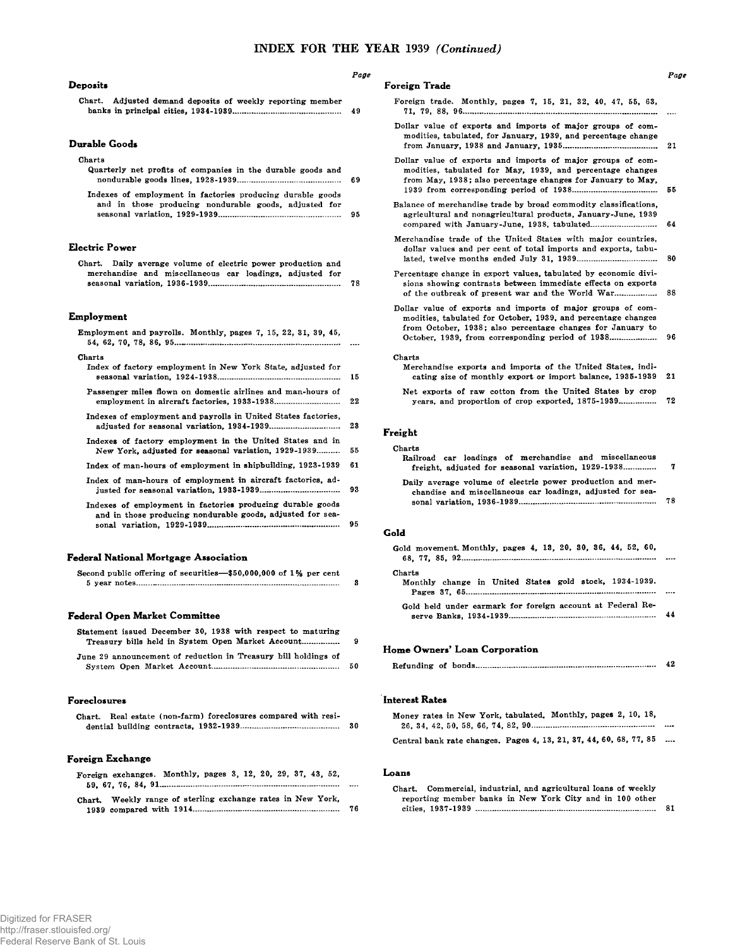#### **Deposits**

|  |  |  | Chart. Adjusted demand deposits of weekly reporting member |    |
|--|--|--|------------------------------------------------------------|----|
|  |  |  |                                                            | 49 |

#### **Durable Goods**

#### Charts

| Quarterly net profits of companies in the durable goods and |  |
|-------------------------------------------------------------|--|
|                                                             |  |
| Indexes of employment in factories producing durable goods  |  |
| and in those producing nondurable goods, adjusted for       |  |
|                                                             |  |

#### **Electric Power**

|  |  |  |  |  |  | Chart. Daily average volume of electric power production and |    |
|--|--|--|--|--|--|--------------------------------------------------------------|----|
|  |  |  |  |  |  | merchandise and miscellaneous car loadings, adjusted for     |    |
|  |  |  |  |  |  |                                                              | 78 |

#### **Employment**

| Employment and payrolls. Monthly, pages 7, 15, 22, 31, 39, 45,                                                           |         |
|--------------------------------------------------------------------------------------------------------------------------|---------|
| Charts<br>Index of factory employment in New York State, adjusted for                                                    | 15      |
| Passenger miles flown on domestic airlines and man-hours of                                                              | $^{22}$ |
| Indexes of employment and payrolls in United States factories,                                                           | 28      |
| Indexes of factory employment in the United States and in<br>New York, adjusted for seasonal variation, 1929-1939        | 55      |
| Index of man-hours of employment in shipbuilding, 1923-1939                                                              | 61      |
| Index of man-hours of employment in aircraft factories, ad-                                                              | 93      |
| Indexes of employment in factories producing durable goods<br>and in those producing nondurable goods, adjusted for sea- | 95      |

#### **Federal National Mortgage Association**

| Second public offering of securities—\$50,000,000 of 1% per cent |  |
|------------------------------------------------------------------|--|
|                                                                  |  |

#### **Federal Open Market Committee**

| Statement issued December 30, 1938 with respect to maturing<br>Treasury bills held in System Open Market Account | 9  |
|------------------------------------------------------------------------------------------------------------------|----|
| June 29 announcement of reduction in Treasury bill holdings of                                                   | 50 |

#### **Foreclosures**

| Chart. Real estate (non-farm) foreclosures compared with resi- |    |
|----------------------------------------------------------------|----|
|                                                                | 30 |
|                                                                |    |
|                                                                |    |
| Foreign Exchange                                               |    |
| Foreign exchanges. Monthly, pages 3, 12, 20, 29, 37, 43, 52.   |    |
| 医心包 医心包 医心包 医心包 医心包 医心包 医心包 医心包 医下颌下的 医下颌 医下颌                  |    |

|  |  | Chart. Weekly range of sterling exchange rates in New York. |  |  |    |
|--|--|-------------------------------------------------------------|--|--|----|
|  |  |                                                             |  |  | 76 |

#### *Page*

| Foreign Trade |  |
|---------------|--|
|---------------|--|

- Foreign trade. Monthly, pages 7, 15, 21, 32, 40, 47, 55, 63, 71, 79, 88, 96...........................................................................................................
- Dollar value of exports and imports of major groups of commodities, tabulated, for January, 1939, and percentage change from January, 1938 and January, 1935.................. ............................. 21
- Dollar value of exports and imports of major groups of commodities, tabulated for May, 1939, and percentage changes from May, 1938; also percentage changes for January to May, 1939 from corresponding period o f 1938............................ .............. 55
- Balance of merchandise trade by broad commodity classifications, agricultural and nonagricultural products, January-June, 1939 compared with January-June, 1938, tabulated................................. 64
- Merchandise trade of the United States with major countries, dollar values and per cent of total imports and exports, tabulated, tw elve m onths ended July 31, 1939........................................ 80
- Percentage change in export values, tabulated by economic divisions showing contrasts between immediate effects on exports of the outbreak of present war and the World War........................ 88

Dollar value of exports and imports of major groups of commodities, tabulated for October, 1939, and percentage changes from October, 1938; also percentage changes for January to October, 1939, from corresponding period o f 1938....................... 96

#### Charts

| Merchandise exports and imports of the United States, indi- |  |                                                               |  |
|-------------------------------------------------------------|--|---------------------------------------------------------------|--|
|                                                             |  | cating size of monthly export or import balance, 1935-1939 21 |  |

Net exports of raw cotton from the United States by crop years, and proportion of crop exported, 1875-1939.................. 72

#### **Freight**

#### Charts

| Railroad car loadings of merchandise and miscellaneous<br>freight, adjusted for seasonal variation, 1929-1938            | - 7 |
|--------------------------------------------------------------------------------------------------------------------------|-----|
| Daily average volume of electric power production and mer-<br>chandise and miscellaneous car loadings, adjusted for sea- | -78 |

#### **Gold**

| Gold movement. Monthly, pages 4, 13, 20, 30, 36, 44, 52, 60,     |  |
|------------------------------------------------------------------|--|
| Charts<br>Monthly change in United States gold stock, 1934-1939. |  |
| Gold held under earmark for foreign account at Federal Re-       |  |

#### **Home Owners\* Loan Corporation**

|--|--|--|--|--|

#### **Interest Rates**

| Money rates in New York, tabulated. Monthly, pages 2, 10, 18,      |           |
|--------------------------------------------------------------------|-----------|
|                                                                    |           |
| Central bank rate changes. Pages 4, 13, 21, 37, 44, 60, 68, 77, 85 | $\ddotsc$ |
|                                                                    |           |

#### **Loans**

| Chart. Commercial, industrial, and agricultural loans of weekly |  |  |  |    |
|-----------------------------------------------------------------|--|--|--|----|
| reporting member banks in New York City and in 100 other        |  |  |  |    |
|                                                                 |  |  |  | 81 |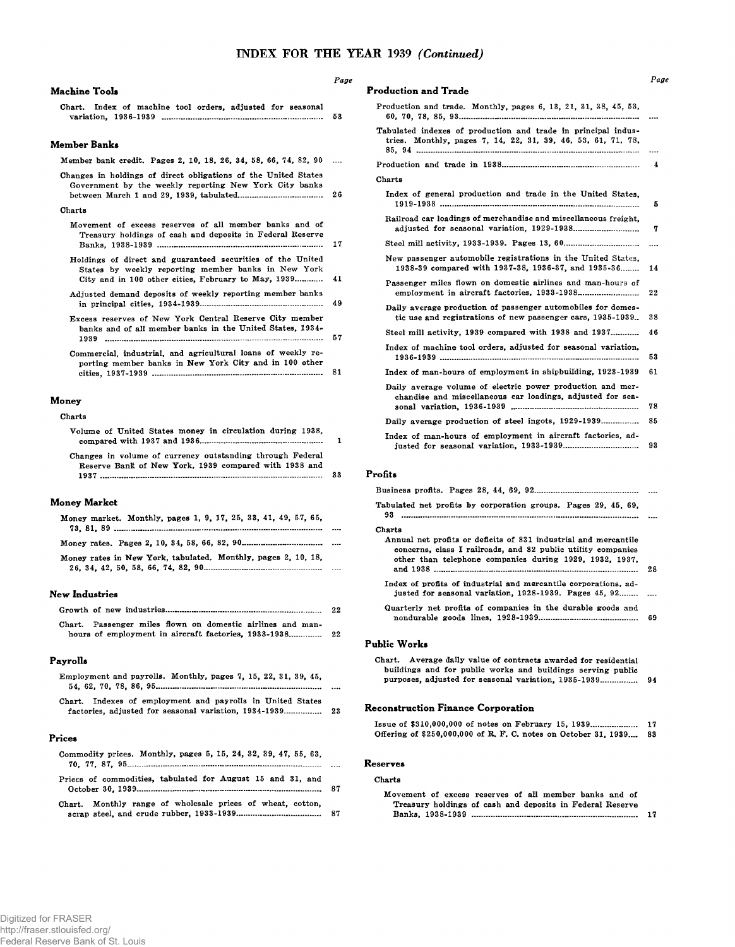### INDEX FOR THE YEAR 1939 *(Continued)*

*Page*

| Machine Tools |
|---------------|
|---------------|

|  |  |  | Chart. Index of machine tool orders, adjusted for seasonal |  |    |
|--|--|--|------------------------------------------------------------|--|----|
|  |  |  |                                                            |  | 53 |

#### **Member Banks**

| Member bank credit. Pages 2, 10, 18, 26, 34, 58, 66, 74, 82, 90 |  |  |  |  |  |  |  |
|-----------------------------------------------------------------|--|--|--|--|--|--|--|
|                                                                 |  |  |  |  |  |  |  |

Changes in holdings of direct obligations of the United States Government by the weekly reporting New York City banks between March 1 and 29, 1939, tabulated.................. ........................ 26

#### Charts

- Movement of excess reserves of all member banks and of Treasury holdings of cash and deposits in Federal Reserve Banks, 1938-1939 ................................................................................... 17
- Holdings of direct and guaranteed securities of the United States by weekly reporting member banks in New York City and in 100 other cities, February to May, 1939............ 41
- Adjusted demand deposits of weekly reporting member banks in principal cities, 1934-1939.............................................................. 49
- Excess reserves of New York Central Reserve City member banks and of all member banks in the United States, 1934-1939 .............................................................................................................. 57

Commercial, industrial, and agricultural loans of weekly reporting member banks in New York City and in 100 other cities, 1937-1939 ...................................................................................... 81

#### **Money**

| Volume of United States money in circulation during 1938. |    |
|-----------------------------------------------------------|----|
| Changes in volume of currency outstanding through Federal |    |
| Reserve Bank of New York, 1939 compared with 1938 and     | 33 |

#### **Money Market**

| Money market. Monthly, pages 1, 9, 17, 25, 33, 41, 49, 57, 65, |  |
|----------------------------------------------------------------|--|
|                                                                |  |
| Money rates in New York, tabulated. Monthly, pages 2, 10, 18,  |  |

#### **New Industries**

|                                                            |  |  | 22 |
|------------------------------------------------------------|--|--|----|
| Chart. Passenger miles flown on domestic airlines and man- |  |  |    |

#### **Payrolls**

| Employment and payrolls. Monthly, pages 7, 15, 22, 31, 39, 45, | $\cdots$ |
|----------------------------------------------------------------|----------|
| Chart. Indexes of employment and payrolls in United States     |          |
|                                                                |          |

#### **Prices**

|  | Commodity prices. Monthly, pages 5, 15, 24, 32, 39, 47, 55, 63, |           |
|--|-----------------------------------------------------------------|-----------|
|  |                                                                 | $\ddotsc$ |
|  | Prices of commodities, tabulated for August 15 and 31, and      |           |
|  | Chart. Monthly range of wholesale prices of wheat, cotton,      |           |

| Chart. Monthly range of wholesale prices of wheat, cotton, |  |  |  |    |
|------------------------------------------------------------|--|--|--|----|
|                                                            |  |  |  | 87 |

| <b>Production and Trade</b>                                                                                                   |    |
|-------------------------------------------------------------------------------------------------------------------------------|----|
| Production and trade. Monthly, pages 6, 13, 21, 31, 38, 45, 53,                                                               |    |
| Tabulated indexes of production and trade in principal indus-<br>tries. Monthly, pages 7, 14, 22, 31, 39, 46, 53, 61, 71, 78, |    |
|                                                                                                                               | 4  |
| Charts                                                                                                                        |    |
| Index of general production and trade in the United States.                                                                   | 5  |
| Railroad car loadings of merchandise and miscellaneous freight,                                                               | 7  |
|                                                                                                                               |    |
| New passenger automobile registrations in the United States.<br>1938-39 compared with 1937-38, 1936-37, and 1935-36           | 14 |
| Passenger miles flown on domestic airlines and man-hours of                                                                   | 22 |
| Daily average production of passenger automobiles for domes-<br>tic use and registrations of new passenger cars, 1935-1939    | 38 |
| Steel mill activity, 1939 compared with 1938 and 1937                                                                         | 46 |
| Index of machine tool orders, adjusted for seasonal variation.                                                                | 53 |
| Index of man-hours of employment in shipbuilding, 1923-1939                                                                   | 61 |
| Daily average volume of electric power production and mer-<br>chandise and miscellaneous car loadings, adjusted for sea-      | 78 |
| Daily average production of steel ingots, 1929-1939                                                                           | 85 |
| Index of man-hours of employment in aircraft factories, ad-                                                                   | 93 |

#### **Profits**

| Tabulated net profits by corporation groups. Pages 29, 45, 69,                                                                                                                             |    |
|--------------------------------------------------------------------------------------------------------------------------------------------------------------------------------------------|----|
| Charts                                                                                                                                                                                     |    |
| Annual net profits or deficits of 831 industrial and mercantile<br>concerns, class I railroads, and 82 public utility companies<br>other than telephone companies during 1929, 1932, 1937. | 28 |
| Index of profits of industrial and mercantile corporations, ad-<br>justed for seasonal variation, 1928-1939. Pages 45, 92                                                                  |    |
| Quarterly net profits of companies in the durable goods and                                                                                                                                | 69 |
| Public Works                                                                                                                                                                               |    |
| Chart. Average daily value of contracts awarded for residential<br>buildings and for public works and buildings serving public<br>purposes, adjusted for seasonal variation, 1935-1939     | 94 |

#### **Reconstruction Finance Corporation**

| Issue of \$310,000,000 of notes on February 15, 1939               | 17 |
|--------------------------------------------------------------------|----|
| Offering of \$250,000,000 of R. F. C. notes on October 31, 1939 83 |    |

#### **Reserves**

#### Charts

| Movement of excess reserves of all member banks and of    |    |
|-----------------------------------------------------------|----|
| Treasury holdings of cash and deposits in Federal Reserve |    |
|                                                           | 17 |